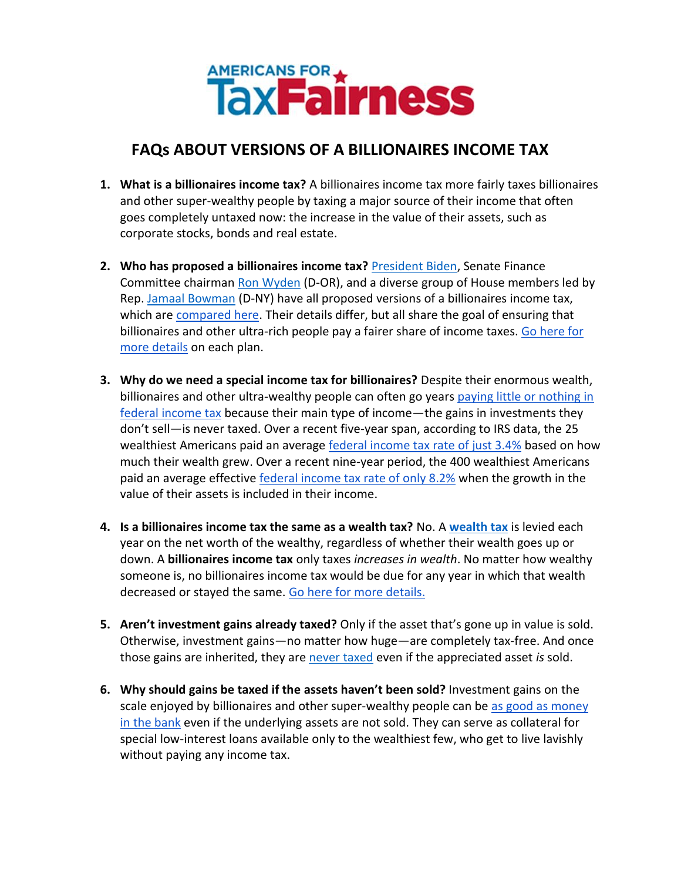

## **FAQs ABOUT VERSIONS OF A BILLIONAIRES INCOME TAX**

- **1. What is a billionaires income tax?** A billionaires income tax more fairly taxes billionaires and other super-wealthy people by taxing a major source of their income that often goes completely untaxed now: the increase in the value of their assets, such as corporate stocks, bonds and real estate.
- **2. Who has proposed a billionaires income tax?** [President Biden,](https://www.whitehouse.gov/omb/briefing-room/2022/03/28/presidents-budget-rewards-work-not-wealth-with-new-billionaire-minimum-income-tax/#:~:text=The%20Billionaire%20Minimum%20Income%20Tax%20will%20ensure%20that%20the%20very,lower%20than%20teachers%20and%20firefighters.) Senate Finance Committee chairman [Ron Wyden](https://www.finance.senate.gov/chairmans-news/wyden-unveils-billionaires-income-tax) (D-OR), and a diverse group of House members led by Rep. [Jamaal Bowman](https://bowman.house.gov/press-releases?ID=AB67461D-540C-4660-8F3E-F665BE5F3777) (D-NY) have all proposed versions of a billionaires income tax, which are [compared here.](https://billionairestax.org/2022/04/08/comparison-of-bidens-and-wydens-billionaires-income-tax-proposals-short/) Their details differ, but all share the goal of ensuring that billionaires and other ultra-rich people pay a fairer share of income taxes. [Go here for](https://billionairestax.org/the-plans/)  [more details](https://billionairestax.org/the-plans/) on each plan.
- **3. Why do we need a special income tax for billionaires?** Despite their enormous wealth, billionaires and other ultra-wealthy people can often go years paying little or nothing in [federal income tax](https://billionairestax.org/2022/04/02/summary-of-propublica-report-on-billionaire-tax-dodgers/) because their main type of income—the gains in investments they don't sell—is never taxed. Over a recent five-year span, according to IRS data, the 25 wealthiest Americans paid an average [federal income tax rate of just 3.4%](https://americansfortaxfairness.org/issue/summary-propublicas-report-billionaire-tax-dodgers/) based on how much their wealth grew. Over a recent nine-year period, the 400 wealthiest Americans paid an average effective [federal income tax rate of only 8.2%](https://www.whitehouse.gov/cea/written-materials/2021/09/23/what-is-the-average-federal-individual-income-tax-rate-on-the-wealthiest-americans/) when the growth in the value of their assets is included in their income.
- **4. Is a billionaires income tax the same as a wealth tax?** No. A **[wealth tax](https://www.warren.senate.gov/newsroom/press-releases/warren-jayapal-boyle-introduce-ultra-millionaire-tax-on-fortunes-over-50-million)** is levied each year on the net worth of the wealthy, regardless of whether their wealth goes up or down. A **billionaires income tax** only taxes *increases in wealth*. No matter how wealthy someone is, no billionaires income tax would be due for any year in which that wealth decreased or stayed the same. [Go here for more details.](https://americansfortaxfairness.org/issue/billionaires-income-tax-vs-wealth-tax-whats-difference/)
- **5. Aren't investment gains already taxed?** Only if the asset that's gone up in value is sold. Otherwise, investment gains—no matter how huge—are completely tax-free. And once those gains are inherited, they are [never taxed](https://americansfortaxfairness.org/wp-content/uploads/ATF-Stepped-Up-Basis-Fact-Sheet-FINAL-6-24-21.pdf) even if the appreciated asset is sold.
- **6. Why should gains be taxed if the assets haven't been sold?** Investment gains on the scale enjoyed by billionaires and other super-wealthy people can b[e as good as money](https://www.wsj.com/articles/buy-borrow-die-how-rich-americans-live-off-their-paper-wealth-11625909583)  [in the bank](https://www.wsj.com/articles/buy-borrow-die-how-rich-americans-live-off-their-paper-wealth-11625909583) even if the underlying assets are not sold. They can serve as collateral for special low-interest loans available only to the wealthiest few, who get to live lavishly without paying any income tax.